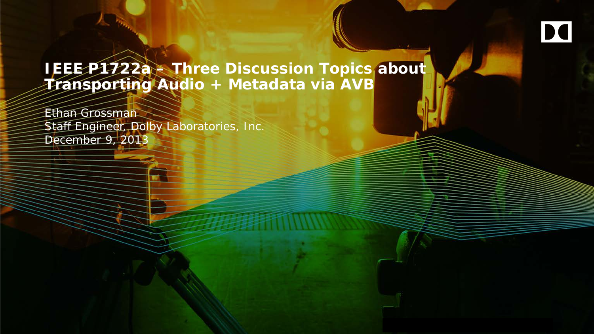**IEEE P1722a – Three Discussion Topics about Transporting Audio + Metadata via AVB**

Ethan Grossman Staff Engineer, Dolby Laboratories, Inc. December 9, 2013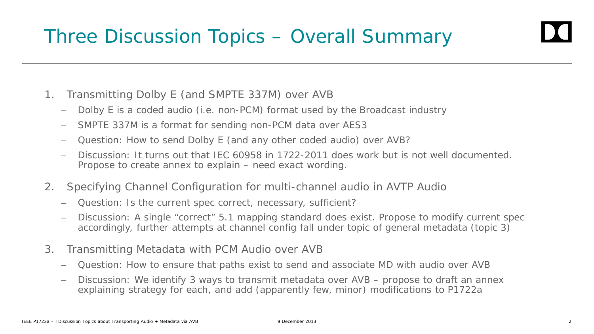- 1. Transmitting Dolby E (and SMPTE 337M) over AVB
	- Dolby E is a coded audio (i.e. non-PCM) format used by the Broadcast industry
	- SMPTE 337M is a format for sending non-PCM data over AES3
	- Question: How to send Dolby E (and any other coded audio) over AVB?
	- Discussion: It turns out that IEC 60958 in 1722-2011 does work but is not well documented. Propose to create annex to explain – need exact wording.
- 2. Specifying Channel Configuration for multi-channel audio in AVTP Audio
	- Question: Is the current spec correct, necessary, sufficient?
	- Discussion: A single "correct" 5.1 mapping standard does exist. Propose to modify current spec accordingly, further attempts at channel config fall under topic of general metadata (topic 3)
- 3. Transmitting Metadata with PCM Audio over AVB
	- Question: How to ensure that paths exist to send and associate MD with audio over AVB
	- Discussion: We identify 3 ways to transmit metadata over AVB propose to draft an annex explaining strategy for each, and add (apparently few, minor) modifications to P1722a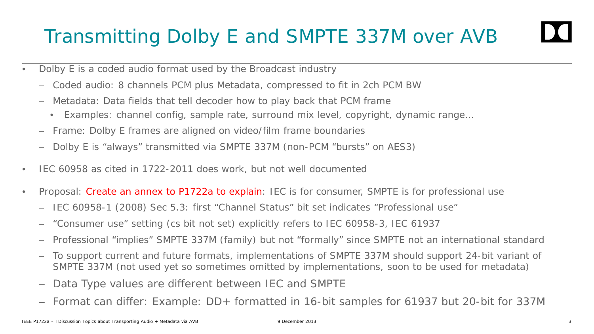### Transmitting Dolby E and SMPTE 337M over AVB

- Dolby E is a coded audio format used by the Broadcast industry
	- Coded audio: 8 channels PCM plus Metadata, compressed to fit in 2ch PCM BW
	- Metadata: Data fields that tell decoder how to play back that PCM frame
		- Examples: channel config, sample rate, surround mix level, copyright, dynamic range…
	- Frame: Dolby E frames are aligned on video/film frame boundaries
	- Dolby E is "always" transmitted via SMPTE 337M (non-PCM "bursts" on AES3)
- IEC 60958 as cited in 1722-2011 does work, but not well documented
- Proposal: Create an annex to P1722a to explain: IEC is for consumer, SMPTE is for professional use
	- IEC 60958-1 (2008) Sec 5.3: first "Channel Status" bit set indicates "Professional use"
	- "Consumer use" setting (cs bit not set) explicitly refers to IEC 60958-3, IEC 61937
	- Professional "implies" SMPTE 337M (family) but not "formally" since SMPTE not an international standard
	- To support current and future formats, implementations of SMPTE 337M should support 24-bit variant of SMPTE 337M (not used yet so sometimes omitted by implementations, soon to be used for metadata)
	- Data Type values are different between IEC and SMPTE
	- Format can differ: Example: DD+ formatted in 16-bit samples for 61937 but 20-bit for 337M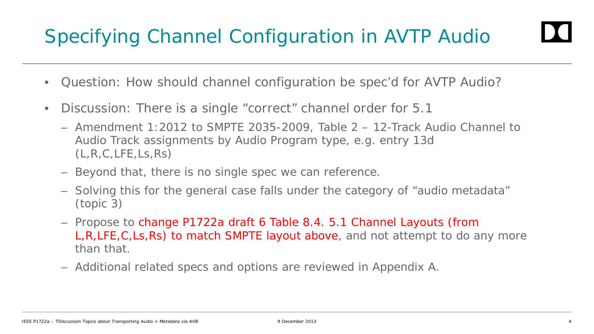## Specifying Channel Configuration in AVTP Audio

- Question: How should channel configuration be spec'd for AVTP Audio?
- Discussion: There is a single "correct" channel order for 5.1
	- Amendment 1:2012 to SMPTE 2035-2009, Table 2 12-Track Audio Channel to Audio Track assignments by Audio Program type, e.g. entry 13d  $(L,R,C,LFE, Ls,Rs)$
	- Beyond that, there is no single spec we can reference.
	- Solving this for the general case falls under the category of "audio metadata" (topic 3)
	- Propose to change P1722a draft 6 Table 8.4. 5.1 Channel Layouts (from L,R,LFE,C,Ls,Rs) to match SMPTE layout above, and not attempt to do any more than that.
	- Additional related specs and options are reviewed in Appendix A.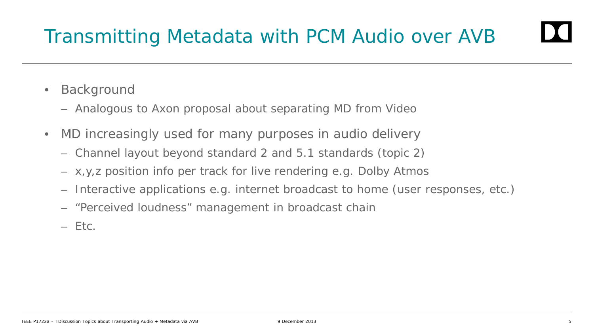- Background
	- Analogous to Axon proposal about separating MD from Video
- MD increasingly used for many purposes in audio delivery
	- Channel layout beyond standard 2 and 5.1 standards (topic 2)
	- x,y,z position info per track for live rendering e.g. Dolby Atmos
	- Interactive applications e.g. internet broadcast to home (user responses, etc.)
	- "Perceived loudness" management in broadcast chain
	- Etc.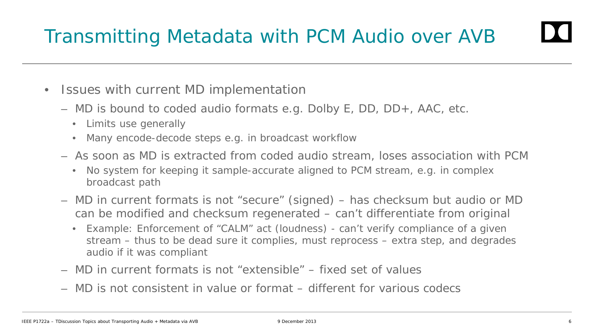- Issues with current MD implementation
	- MD is bound to coded audio formats e.g. Dolby E, DD, DD+, AAC, etc.
		- Limits use generally
		- Many encode-decode steps e.g. in broadcast workflow
	- As soon as MD is extracted from coded audio stream, loses association with PCM
		- No system for keeping it sample-accurate aligned to PCM stream, e.g. in complex broadcast path
	- MD in current formats is not "secure" (signed) has checksum but audio or MD can be modified and checksum regenerated – can't differentiate from original
		- Example: Enforcement of "CALM" act (loudness) can't verify compliance of a given stream – thus to be dead sure it complies, must reprocess – extra step, and degrades audio if it was compliant
	- MD in current formats is not "extensible" fixed set of values
	- MD is not consistent in value or format different for various codecs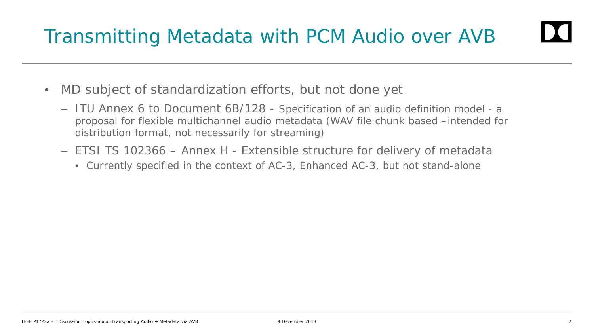- MD subject of standardization efforts, but not done yet
	- ITU Annex 6 to Document 6B/128 Specification of an audio definition model a proposal for flexible multichannel audio metadata (WAV file chunk based –intended for distribution format, not necessarily for streaming)
	- ETSI TS 102366 Annex H Extensible structure for delivery of metadata
		- Currently specified in the context of AC-3, Enhanced AC-3, but not stand-alone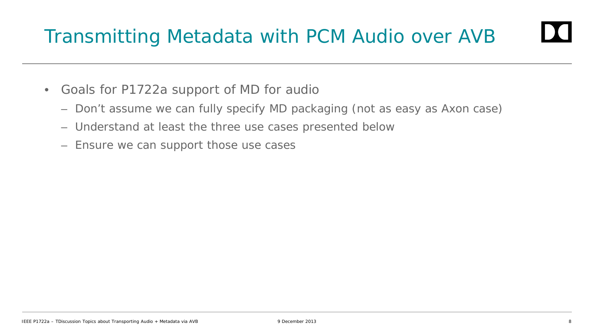- Goals for P1722a support of MD for audio
	- Don't assume we can fully specify MD packaging (not as easy as Axon case)
	- Understand at least the three use cases presented below
	- Ensure we can support those use cases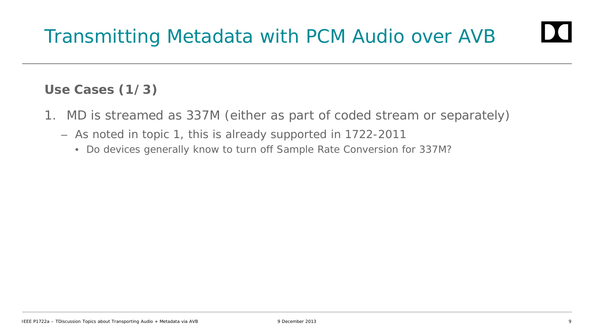### **Use Cases (1/3)**

- 1. MD is streamed as 337M (either as part of coded stream or separately)
	- As noted in topic 1, this is already supported in 1722-2011
		- Do devices generally know to turn off Sample Rate Conversion for 337M?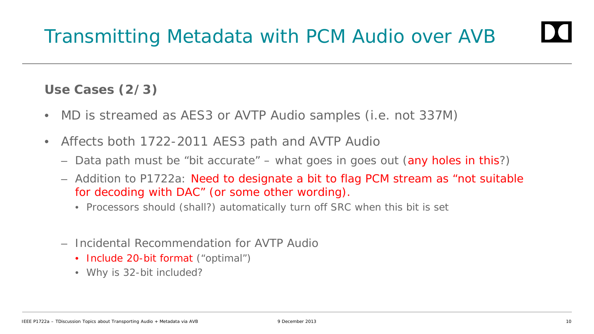#### **Use Cases (2/3)**

- MD is streamed as AES3 or AVTP Audio samples (i.e. not 337M)
- Affects both 1722-2011 AES3 path and AVTP Audio
	- Data path must be "bit accurate" what goes in goes out (any holes in this?)
	- Addition to P1722a: Need to designate a bit to flag PCM stream as "not suitable for decoding with DAC" (or some other wording).
		- Processors should (shall?) automatically turn off SRC when this bit is set
	- Incidental Recommendation for AVTP Audio
		- Include 20-bit format ("optimal")
		- Why is 32-bit included?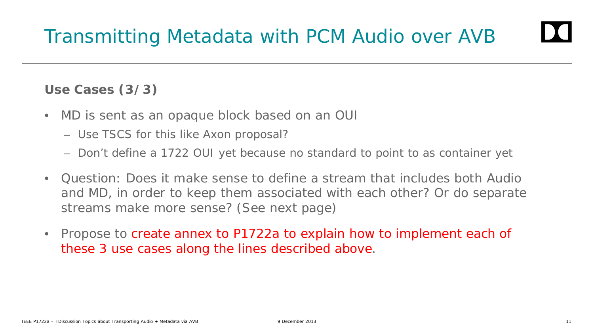#### **Use Cases (3/3)**

- MD is sent as an opaque block based on an OUI
	- Use TSCS for this like Axon proposal?
	- Don't define a 1722 OUI yet because no standard to point to as container yet
- Question: Does it make sense to define a stream that includes both Audio and MD, in order to keep them associated with each other? Or do separate streams make more sense? (See next page)
- Propose to create annex to P1722a to explain how to implement each of these 3 use cases along the lines described above.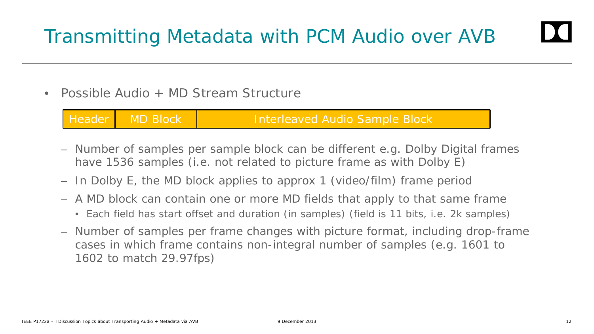• Possible Audio + MD Stream Structure

Header MD Block Interleaved Audio Sample Block

- Number of samples per sample block can be different e.g. Dolby Digital frames have 1536 samples (i.e. not related to picture frame as with Dolby E)
- In Dolby E, the MD block applies to approx 1 (video/film) frame period
- A MD block can contain one or more MD fields that apply to that same frame
	- Each field has start offset and duration (in samples) (field is 11 bits, i.e. 2k samples)
- Number of samples per frame changes with picture format, including drop-frame cases in which frame contains non-integral number of samples (e.g. 1601 to 1602 to match 29.97fps)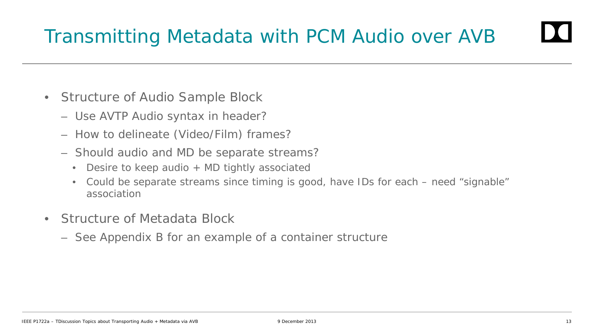- Structure of Audio Sample Block
	- Use AVTP Audio syntax in header?
	- How to delineate (Video/Film) frames?
	- Should audio and MD be separate streams?
		- Desire to keep audio + MD tightly associated
		- Could be separate streams since timing is good, have IDs for each need "signable" association
- Structure of Metadata Block
	- See Appendix B for an example of a container structure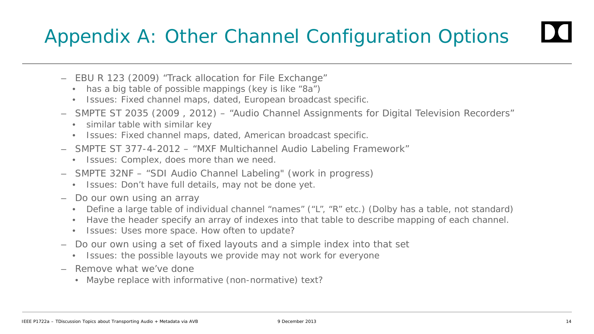### Appendix A: Other Channel Configuration Options

- EBU R 123 (2009) "Track allocation for File Exchange"
	- has a big table of possible mappings (key is like "8a")
	- Issues: Fixed channel maps, dated, European broadcast specific.
- SMPTE ST 2035 (2009 , 2012) "Audio Channel Assignments for Digital Television Recorders"
	- similar table with similar key
	- Issues: Fixed channel maps, dated, American broadcast specific.
- SMPTE ST 377-4-2012 "MXF Multichannel Audio Labeling Framework"
	- Issues: Complex, does more than we need.
- SMPTE 32NF "SDI Audio Channel Labeling" (work in progress)
	- Issues: Don't have full details, may not be done yet.
- Do our own using an array
	- Define a large table of individual channel "names" ("L", "R" etc.) (Dolby has a table, not standard)
	- Have the header specify an array of indexes into that table to describe mapping of each channel.
	- Issues: Uses more space. How often to update?
- Do our own using a set of fixed layouts and a simple index into that set
	- Issues: the possible layouts we provide may not work for everyone
- Remove what we've done
	- Maybe replace with informative (non-normative) text?